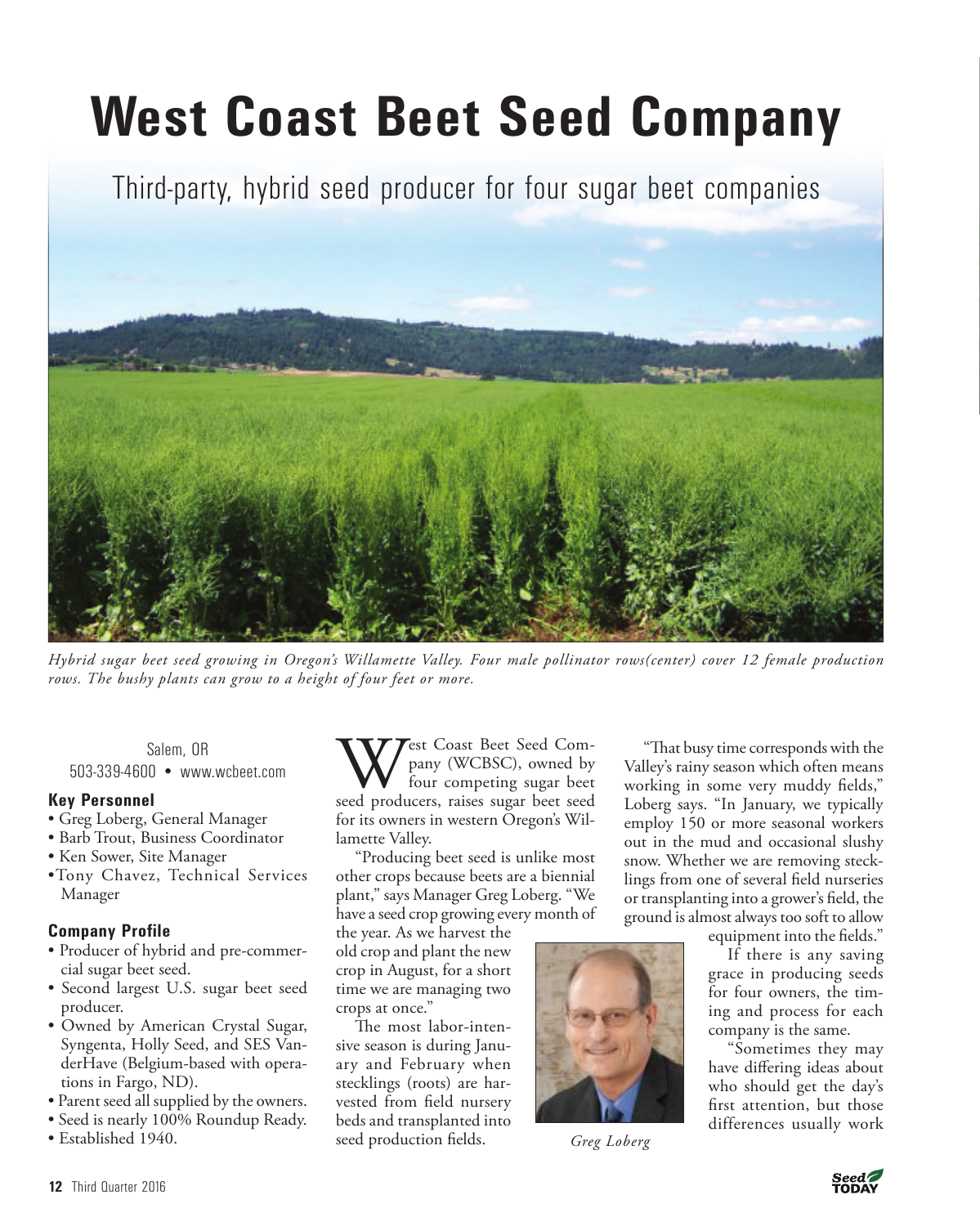# **West Coast Beet Seed Company**

Third-party, hybrid seed producer for four sugar beet companies



*Hybrid sugar beet seed growing in Oregon's Willamette Valley. Four male pollinator rows(center) cover 12 female production rows. The bushy plants can grow to a height of four feet or more.* 

Salem, OR 503-339-4600 • www.wcbeet.com

# **Key Personnel**

- Greg Loberg, General Manager
- Barb Trout, Business Coordinator
- Ken Sower, Site Manager
- •Tony Chavez, Technical Services Manager

# **Company Profile**

- Producer of hybrid and pre-commercial sugar beet seed.
- Second largest U.S. sugar beet seed producer.
- Owned by American Crystal Sugar, Syngenta, Holly Seed, and SES VanderHave (Belgium-based with operations in Fargo, ND).
- Parent seed all supplied by the owners.
- Seed is nearly 100% Roundup Ready.
- Established 1940.

West Coast Beet Seed Com-<br>pany (WCBSC), owned by<br>seed producers, raises sugar beet seed pany (WCBSC), owned by four competing sugar beet for its owners in western Oregon's Willamette Valley.

"Producing beet seed is unlike most other crops because beets are a biennial plant," says Manager Greg Loberg. "We have a seed crop growing every month of

the year. As we harvest the old crop and plant the new crop in August, for a short time we are managing two crops at once."

The most labor-intensive season is during January and February when stecklings (roots) are harvested from field nursery beds and transplanted into seed production fields.



*Greg Loberg*

"That busy time corresponds with the Valley's rainy season which often means working in some very muddy fields," Loberg says. "In January, we typically employ 150 or more seasonal workers out in the mud and occasional slushy snow. Whether we are removing stecklings from one of several field nurseries or transplanting into a grower's field, the ground is almost always too soft to allow

equipment into the fields."

If there is any saving grace in producing seeds for four owners, the timing and process for each company is the same.

"Sometimes they may have differing ideas about who should get the day's first attention, but those differences usually work

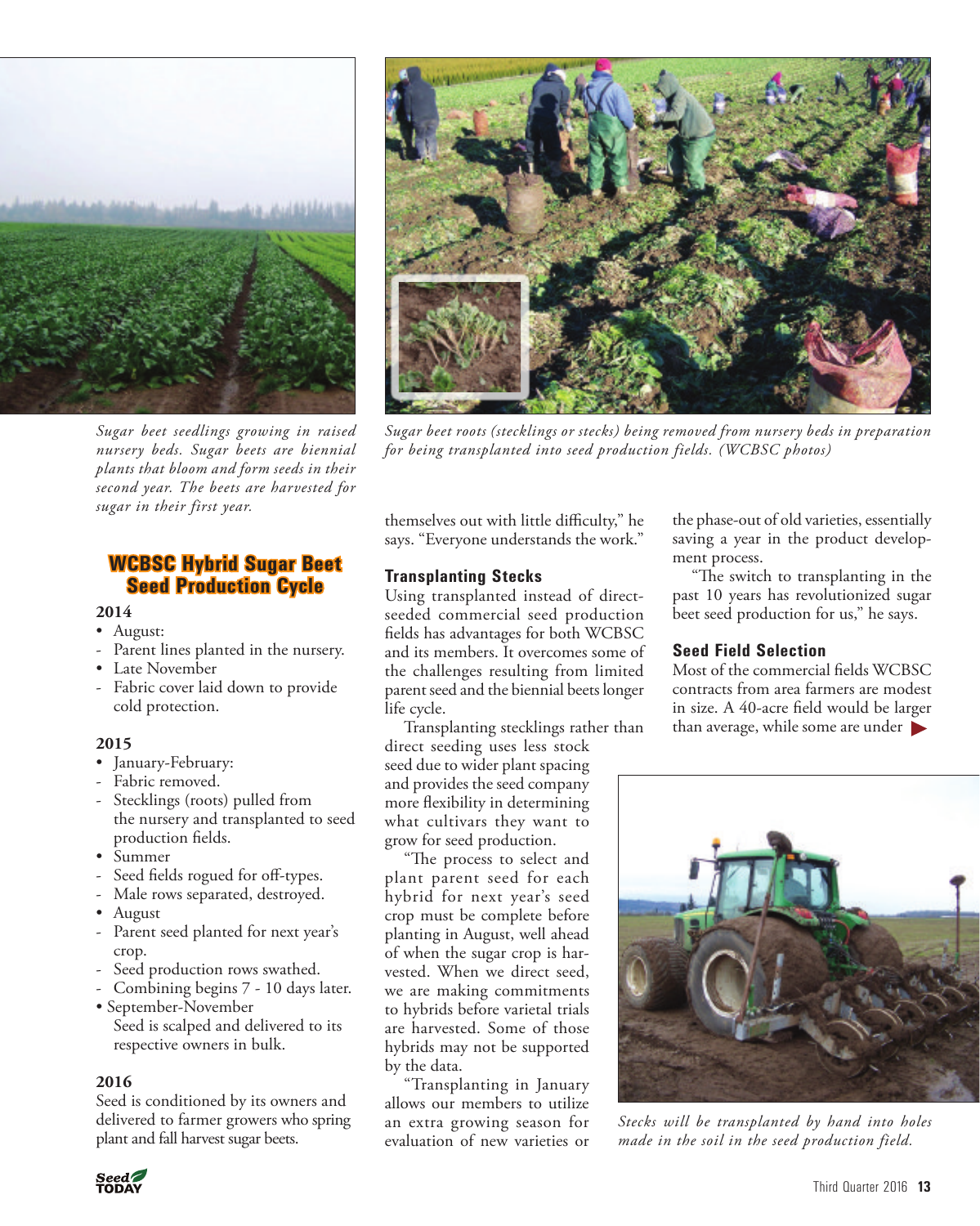

*Sugar beet seedlings growing in raised nursery beds. Sugar beets are biennial plants that bloom and form seeds in their second year. The beets are harvested for sugar in their first year.*

# **WCBSC Hybrid Sugar Beet Seed Production Cycle**

# **2014**

- August:
- Parent lines planted in the nursery.
- Late November
- Fabric cover laid down to provide cold protection.

#### **2015**

- January-February:
- Fabric removed.
- Stecklings (roots) pulled from the nursery and transplanted to seed production fields.
- Summer
- Seed fields rogued for off-types.
- Male rows separated, destroyed.
- August
- Parent seed planted for next year's crop.
- Seed production rows swathed.
- Combining begins 7 10 days later.
- September-November Seed is scalped and delivered to its respective owners in bulk.

#### **2016**

Seed is conditioned by its owners and delivered to farmer growers who spring plant and fall harvest sugar beets.



*Sugar beet roots (stecklings or stecks) being removed from nursery beds in preparation for being transplanted into seed production fields. (WCBSC photos)*

themselves out with little difficulty," he says. "Everyone understands the work."

# **Transplanting Stecks**

Using transplanted instead of directseeded commercial seed production fields has advantages for both WCBSC and its members. It overcomes some of the challenges resulting from limited parent seed and the biennial beets longer life cycle.

Transplanting stecklings rather than

direct seeding uses less stock seed due to wider plant spacing and provides the seed company more flexibility in determining what cultivars they want to grow for seed production.

"The process to select and plant parent seed for each hybrid for next year's seed crop must be complete before planting in August, well ahead of when the sugar crop is harvested. When we direct seed, we are making commitments to hybrids before varietal trials are harvested. Some of those hybrids may not be supported by the data.

"Transplanting in January allows our members to utilize an extra growing season for evaluation of new varieties or

the phase-out of old varieties, essentially saving a year in the product development process.

"The switch to transplanting in the past 10 years has revolutionized sugar beet seed production for us," he says.

# **Seed Field Selection**

 than average, while some are under Most of the commercial fields WCBSC contracts from area farmers are modest in size. A 40-acre field would be larger



*Stecks will be transplanted by hand into holes made in the soil in the seed production field.*